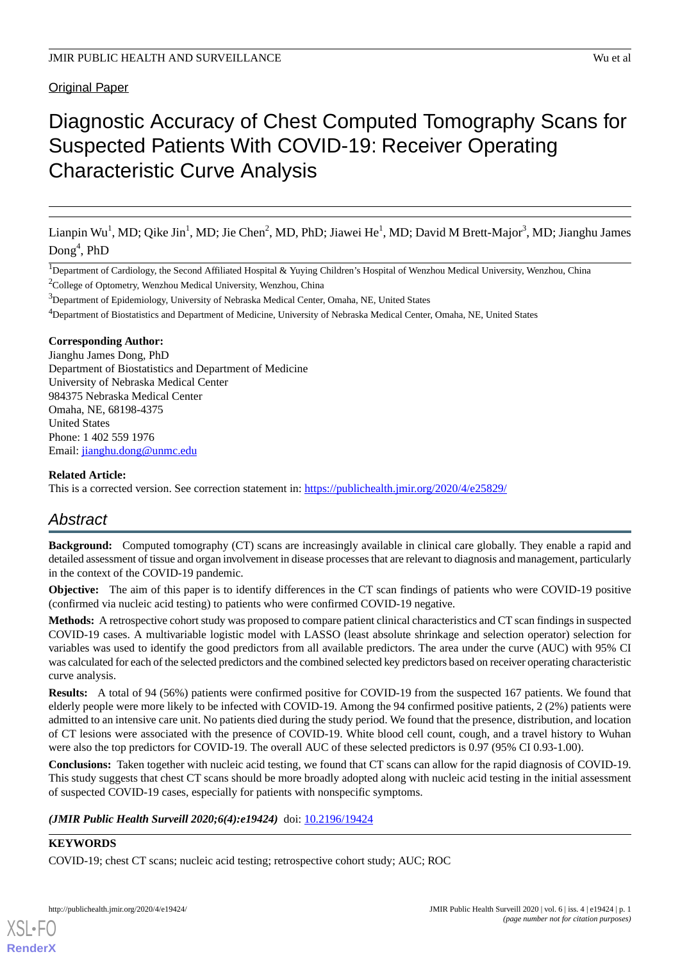Original Paper

# Diagnostic Accuracy of Chest Computed Tomography Scans for Suspected Patients With COVID-19: Receiver Operating Characteristic Curve Analysis

Lianpin Wu<sup>1</sup>, MD; Qike Jin<sup>1</sup>, MD; Jie Chen<sup>2</sup>, MD, PhD; Jiawei He<sup>1</sup>, MD; David M Brett-Major<sup>3</sup>, MD; Jianghu James  $\text{Dong}^4$ , PhD

<sup>1</sup>Department of Cardiology, the Second Affiliated Hospital & Yuying Children's Hospital of Wenzhou Medical University, Wenzhou, China

 $2$ College of Optometry, Wenzhou Medical University, Wenzhou, China

<sup>3</sup>Department of Epidemiology, University of Nebraska Medical Center, Omaha, NE, United States

<sup>4</sup>Department of Biostatistics and Department of Medicine, University of Nebraska Medical Center, Omaha, NE, United States

#### **Corresponding Author:**

Jianghu James Dong, PhD Department of Biostatistics and Department of Medicine University of Nebraska Medical Center 984375 Nebraska Medical Center Omaha, NE, 68198-4375 United States Phone: 1 402 559 1976 Email: [jianghu.dong@unmc.edu](mailto:jianghu.dong@unmc.edu)

#### **Related Article:**

This is a corrected version. See correction statement in: <https://publichealth.jmir.org/2020/4/e25829/>

# *Abstract*

**Background:** Computed tomography (CT) scans are increasingly available in clinical care globally. They enable a rapid and detailed assessment of tissue and organ involvement in disease processes that are relevant to diagnosis and management, particularly in the context of the COVID-19 pandemic.

**Objective:** The aim of this paper is to identify differences in the CT scan findings of patients who were COVID-19 positive (confirmed via nucleic acid testing) to patients who were confirmed COVID-19 negative.

**Methods:** A retrospective cohort study was proposed to compare patient clinical characteristics and CT scan findings in suspected COVID-19 cases. A multivariable logistic model with LASSO (least absolute shrinkage and selection operator) selection for variables was used to identify the good predictors from all available predictors. The area under the curve (AUC) with 95% CI was calculated for each of the selected predictors and the combined selected key predictors based on receiver operating characteristic curve analysis.

**Results:** A total of 94 (56%) patients were confirmed positive for COVID-19 from the suspected 167 patients. We found that elderly people were more likely to be infected with COVID-19. Among the 94 confirmed positive patients, 2 (2%) patients were admitted to an intensive care unit. No patients died during the study period. We found that the presence, distribution, and location of CT lesions were associated with the presence of COVID-19. White blood cell count, cough, and a travel history to Wuhan were also the top predictors for COVID-19. The overall AUC of these selected predictors is 0.97 (95% CI 0.93-1.00).

**Conclusions:** Taken together with nucleic acid testing, we found that CT scans can allow for the rapid diagnosis of COVID-19. This study suggests that chest CT scans should be more broadly adopted along with nucleic acid testing in the initial assessment of suspected COVID-19 cases, especially for patients with nonspecific symptoms.

## *(JMIR Public Health Surveill 2020;6(4):e19424)* doi: [10.2196/19424](http://dx.doi.org/10.2196/19424)

## **KEYWORDS**

[XSL](http://www.w3.org/Style/XSL)•FO **[RenderX](http://www.renderx.com/)**

COVID-19; chest CT scans; nucleic acid testing; retrospective cohort study; AUC; ROC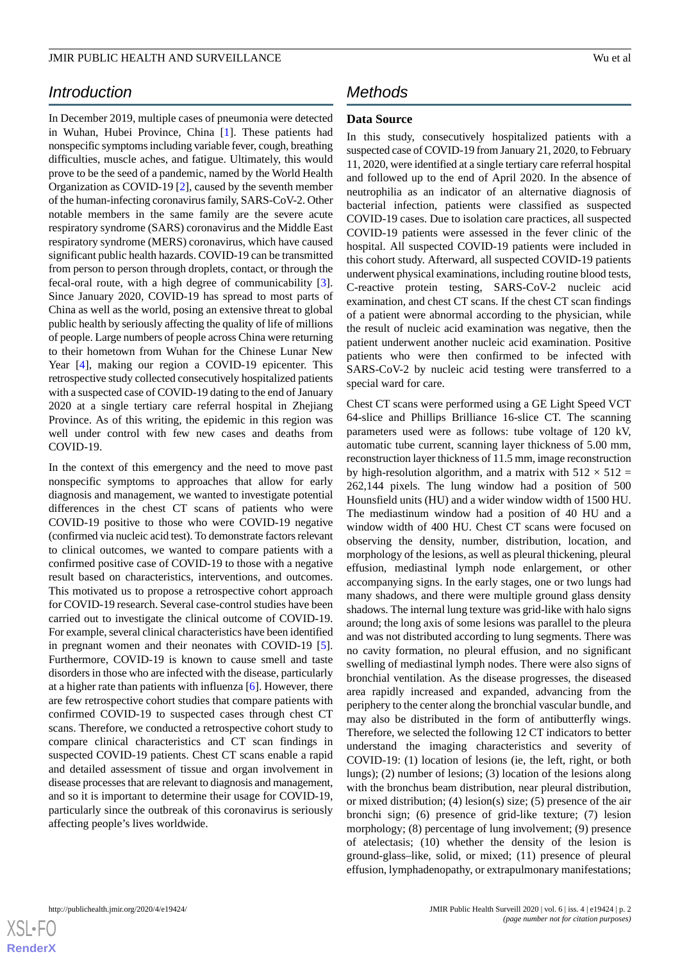# *Introduction*

In December 2019, multiple cases of pneumonia were detected in Wuhan, Hubei Province, China [\[1](#page-8-0)]. These patients had nonspecific symptoms including variable fever, cough, breathing difficulties, muscle aches, and fatigue. Ultimately, this would prove to be the seed of a pandemic, named by the World Health Organization as COVID-19 [\[2](#page-8-1)], caused by the seventh member of the human-infecting coronavirus family, SARS-CoV-2. Other notable members in the same family are the severe acute respiratory syndrome (SARS) coronavirus and the Middle East respiratory syndrome (MERS) coronavirus, which have caused significant public health hazards. COVID-19 can be transmitted from person to person through droplets, contact, or through the fecal-oral route, with a high degree of communicability [[3\]](#page-8-2). Since January 2020, COVID-19 has spread to most parts of China as well as the world, posing an extensive threat to global public health by seriously affecting the quality of life of millions of people. Large numbers of people across China were returning to their hometown from Wuhan for the Chinese Lunar New Year [[4\]](#page-8-3), making our region a COVID-19 epicenter. This retrospective study collected consecutively hospitalized patients with a suspected case of COVID-19 dating to the end of January 2020 at a single tertiary care referral hospital in Zhejiang Province. As of this writing, the epidemic in this region was well under control with few new cases and deaths from COVID-19.

In the context of this emergency and the need to move past nonspecific symptoms to approaches that allow for early diagnosis and management, we wanted to investigate potential differences in the chest CT scans of patients who were COVID-19 positive to those who were COVID-19 negative (confirmed via nucleic acid test). To demonstrate factors relevant to clinical outcomes, we wanted to compare patients with a confirmed positive case of COVID-19 to those with a negative result based on characteristics, interventions, and outcomes. This motivated us to propose a retrospective cohort approach for COVID-19 research. Several case-control studies have been carried out to investigate the clinical outcome of COVID-19. For example, several clinical characteristics have been identified in pregnant women and their neonates with COVID-19 [[5\]](#page-8-4). Furthermore, COVID-19 is known to cause smell and taste disorders in those who are infected with the disease, particularly at a higher rate than patients with influenza [\[6](#page-8-5)]. However, there are few retrospective cohort studies that compare patients with confirmed COVID-19 to suspected cases through chest CT scans. Therefore, we conducted a retrospective cohort study to compare clinical characteristics and CT scan findings in suspected COVID-19 patients. Chest CT scans enable a rapid and detailed assessment of tissue and organ involvement in disease processes that are relevant to diagnosis and management, and so it is important to determine their usage for COVID-19, particularly since the outbreak of this coronavirus is seriously affecting people's lives worldwide.

# *Methods*

### **Data Source**

In this study, consecutively hospitalized patients with a suspected case of COVID-19 from January 21, 2020, to February 11, 2020, were identified at a single tertiary care referral hospital and followed up to the end of April 2020. In the absence of neutrophilia as an indicator of an alternative diagnosis of bacterial infection, patients were classified as suspected COVID-19 cases. Due to isolation care practices, all suspected COVID-19 patients were assessed in the fever clinic of the hospital. All suspected COVID-19 patients were included in this cohort study. Afterward, all suspected COVID-19 patients underwent physical examinations, including routine blood tests, C-reactive protein testing, SARS-CoV-2 nucleic acid examination, and chest CT scans. If the chest CT scan findings of a patient were abnormal according to the physician, while the result of nucleic acid examination was negative, then the patient underwent another nucleic acid examination. Positive patients who were then confirmed to be infected with SARS-CoV-2 by nucleic acid testing were transferred to a special ward for care.

Chest CT scans were performed using a GE Light Speed VCT 64-slice and Phillips Brilliance 16-slice CT. The scanning parameters used were as follows: tube voltage of 120 kV, automatic tube current, scanning layer thickness of 5.00 mm, reconstruction layer thickness of 11.5 mm, image reconstruction by high-resolution algorithm, and a matrix with  $512 \times 512 =$ 262,144 pixels. The lung window had a position of 500 Hounsfield units (HU) and a wider window width of 1500 HU. The mediastinum window had a position of 40 HU and a window width of 400 HU. Chest CT scans were focused on observing the density, number, distribution, location, and morphology of the lesions, as well as pleural thickening, pleural effusion, mediastinal lymph node enlargement, or other accompanying signs. In the early stages, one or two lungs had many shadows, and there were multiple ground glass density shadows. The internal lung texture was grid-like with halo signs around; the long axis of some lesions was parallel to the pleura and was not distributed according to lung segments. There was no cavity formation, no pleural effusion, and no significant swelling of mediastinal lymph nodes. There were also signs of bronchial ventilation. As the disease progresses, the diseased area rapidly increased and expanded, advancing from the periphery to the center along the bronchial vascular bundle, and may also be distributed in the form of antibutterfly wings. Therefore, we selected the following 12 CT indicators to better understand the imaging characteristics and severity of COVID-19: (1) location of lesions (ie, the left, right, or both lungs); (2) number of lesions; (3) location of the lesions along with the bronchus beam distribution, near pleural distribution, or mixed distribution; (4) lesion(s) size; (5) presence of the air bronchi sign; (6) presence of grid-like texture; (7) lesion morphology; (8) percentage of lung involvement; (9) presence of atelectasis; (10) whether the density of the lesion is ground-glass–like, solid, or mixed; (11) presence of pleural effusion, lymphadenopathy, or extrapulmonary manifestations;

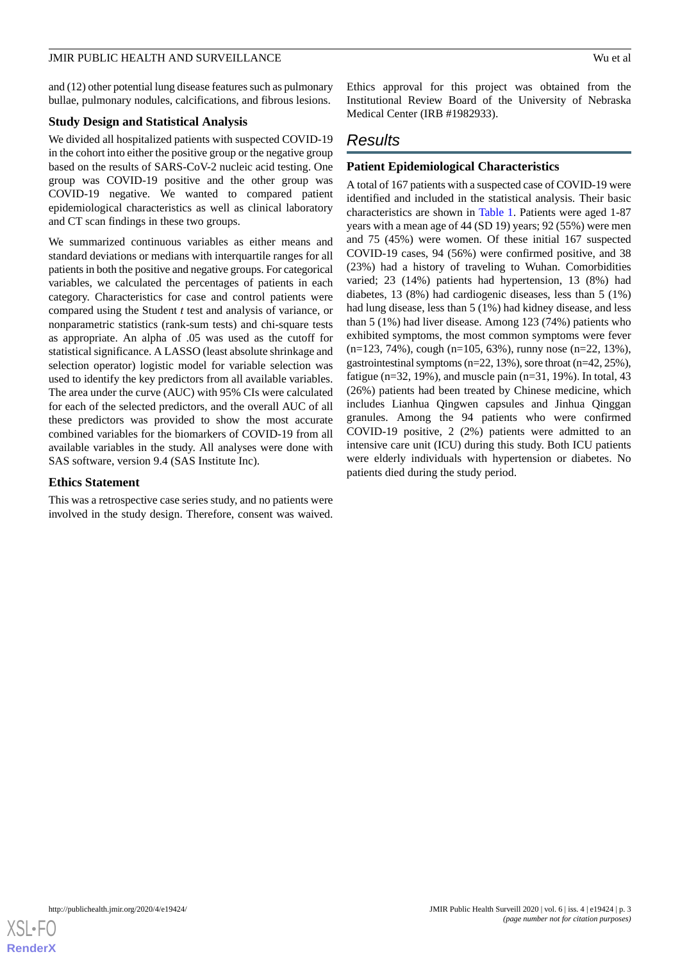and (12) other potential lung disease features such as pulmonary bullae, pulmonary nodules, calcifications, and fibrous lesions.

#### **Study Design and Statistical Analysis**

We divided all hospitalized patients with suspected COVID-19 in the cohort into either the positive group or the negative group based on the results of SARS-CoV-2 nucleic acid testing. One group was COVID-19 positive and the other group was COVID-19 negative. We wanted to compared patient epidemiological characteristics as well as clinical laboratory and CT scan findings in these two groups.

We summarized continuous variables as either means and standard deviations or medians with interquartile ranges for all patients in both the positive and negative groups. For categorical variables, we calculated the percentages of patients in each category. Characteristics for case and control patients were compared using the Student *t* test and analysis of variance, or nonparametric statistics (rank-sum tests) and chi-square tests as appropriate. An alpha of .05 was used as the cutoff for statistical significance. A LASSO (least absolute shrinkage and selection operator) logistic model for variable selection was used to identify the key predictors from all available variables. The area under the curve (AUC) with 95% CIs were calculated for each of the selected predictors, and the overall AUC of all these predictors was provided to show the most accurate combined variables for the biomarkers of COVID-19 from all available variables in the study. All analyses were done with SAS software, version 9.4 (SAS Institute Inc).

#### **Ethics Statement**

This was a retrospective case series study, and no patients were involved in the study design. Therefore, consent was waived.

Ethics approval for this project was obtained from the Institutional Review Board of the University of Nebraska Medical Center (IRB #1982933).

# *Results*

## **Patient Epidemiological Characteristics**

A total of 167 patients with a suspected case of COVID-19 were identified and included in the statistical analysis. Their basic characteristics are shown in [Table 1.](#page-3-0) Patients were aged 1-87 years with a mean age of 44 (SD 19) years; 92 (55%) were men and 75 (45%) were women. Of these initial 167 suspected COVID-19 cases, 94 (56%) were confirmed positive, and 38 (23%) had a history of traveling to Wuhan. Comorbidities varied; 23 (14%) patients had hypertension, 13 (8%) had diabetes, 13 (8%) had cardiogenic diseases, less than 5 (1%) had lung disease, less than 5 (1%) had kidney disease, and less than 5 (1%) had liver disease. Among 123 (74%) patients who exhibited symptoms, the most common symptoms were fever  $(n=123, 74\%)$ , cough  $(n=105, 63\%)$ , runny nose  $(n=22, 13\%)$ , gastrointestinal symptoms (n=22, 13%), sore throat (n=42, 25%), fatigue ( $n=32$ , 19%), and muscle pain ( $n=31$ , 19%). In total, 43 (26%) patients had been treated by Chinese medicine, which includes Lianhua Qingwen capsules and Jinhua Qinggan granules. Among the 94 patients who were confirmed COVID-19 positive, 2 (2%) patients were admitted to an intensive care unit (ICU) during this study. Both ICU patients were elderly individuals with hypertension or diabetes. No patients died during the study period.

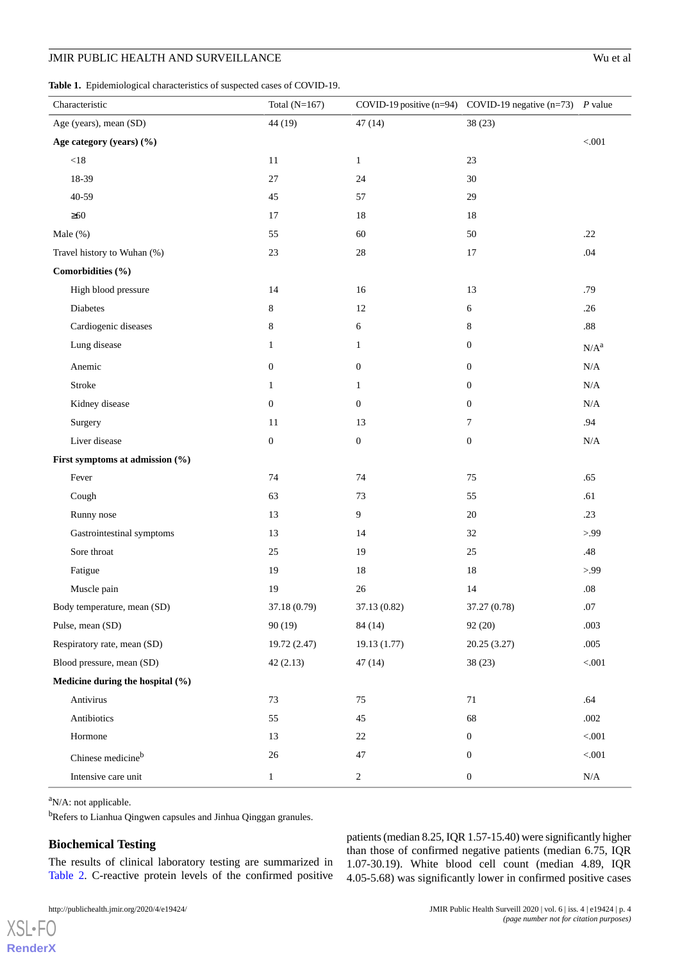<span id="page-3-0"></span>

|  |  | <b>Table 1.</b> Epidemiological characteristics of suspected cases of COVID-19. |  |
|--|--|---------------------------------------------------------------------------------|--|
|--|--|---------------------------------------------------------------------------------|--|

| Characteristic                   | Total $(N=167)$  |                  | COVID-19 positive (n=94) COVID-19 negative (n=73) P value |             |
|----------------------------------|------------------|------------------|-----------------------------------------------------------|-------------|
| Age (years), mean (SD)           | 44 (19)          | 47(14)           | 38(23)                                                    |             |
| Age category (years) (%)         |                  |                  |                                                           | < 0.01      |
| $<18$                            | 11               | $\mathbf{1}$     | 23                                                        |             |
| 18-39                            | 27               | 24               | 30                                                        |             |
| $40 - 59$                        | 45               | 57               | 29                                                        |             |
| $\geq 60$                        | 17               | 18               | 18                                                        |             |
| Male (%)                         | 55               | 60               | 50                                                        | .22         |
| Travel history to Wuhan (%)      | 23               | $28\,$           | 17                                                        | .04         |
| Comorbidities (%)                |                  |                  |                                                           |             |
| High blood pressure              | 14               | 16               | 13                                                        | .79         |
| Diabetes                         | 8                | 12               | $\sqrt{6}$                                                | .26         |
| Cardiogenic diseases             | 8                | 6                | 8                                                         | $.88\,$     |
| Lung disease                     | $\mathbf{1}$     | $\mathbf{1}$     | $\boldsymbol{0}$                                          | $N/A^a$     |
| Anemic                           | $\boldsymbol{0}$ | $\boldsymbol{0}$ | $\boldsymbol{0}$                                          | $\rm N/A$   |
| Stroke                           | $\mathbf{1}$     | $\mathbf{1}$     | $\boldsymbol{0}$                                          | $\rm N/A$   |
| Kidney disease                   | $\boldsymbol{0}$ | $\mathbf{0}$     | $\boldsymbol{0}$                                          | $\rm N/A$   |
| Surgery                          | 11               | 13               | 7                                                         | .94         |
| Liver disease                    | $\boldsymbol{0}$ | $\boldsymbol{0}$ | $\boldsymbol{0}$                                          | $\rm N/A$   |
| First symptoms at admission (%)  |                  |                  |                                                           |             |
| Fever                            | 74               | 74               | 75                                                        | .65         |
| Cough                            | 63               | 73               | 55                                                        | .61         |
| Runny nose                       | 13               | $\overline{9}$   | 20                                                        | .23         |
| Gastrointestinal symptoms        | 13               | 14               | 32                                                        | > 99        |
| Sore throat                      | 25               | 19               | 25                                                        | .48         |
| Fatigue                          | 19               | $18\,$           | 18                                                        | > 99        |
| Muscle pain                      | 19               | $26\,$           | 14                                                        | $.08\,$     |
| Body temperature, mean (SD)      | 37.18 (0.79)     | 37.13 (0.82)     | 37.27 (0.78)                                              | .07         |
| Pulse, mean (SD)                 | 90(19)           | 84 (14)          | 92 (20)                                                   | .003        |
| Respiratory rate, mean (SD)      | 19.72 (2.47)     | 19.13 (1.77)     | 20.25 (3.27)                                              | .005        |
| Blood pressure, mean (SD)        | 42(2.13)         | 47(14)           | 38(23)                                                    | $< 001$     |
| Medicine during the hospital (%) |                  |                  |                                                           |             |
| Antivirus                        | 73               | 75               | 71                                                        | .64         |
| Antibiotics                      | 55               | 45               | 68                                                        | .002        |
| Hormone                          | 13               | $22\,$           | $\boldsymbol{0}$                                          | $<\!\!.001$ |
| Chinese medicine <sup>b</sup>    | 26               | 47               | $\boldsymbol{0}$                                          | $<\!\!.001$ |
| Intensive care unit              | $\mathbf{1}$     | $\sqrt{2}$       | $\boldsymbol{0}$                                          | $\rm N/A$   |

<sup>a</sup>N/A: not applicable.

[XSL](http://www.w3.org/Style/XSL)•FO **[RenderX](http://www.renderx.com/)**

<sup>b</sup>Refers to Lianhua Qingwen capsules and Jinhua Qinggan granules.

# **Biochemical Testing**

The results of clinical laboratory testing are summarized in [Table 2.](#page-4-0) C-reactive protein levels of the confirmed positive

patients (median 8.25, IQR 1.57-15.40) were significantly higher than those of confirmed negative patients (median 6.75, IQR 1.07-30.19). White blood cell count (median 4.89, IQR 4.05-5.68) was significantly lower in confirmed positive cases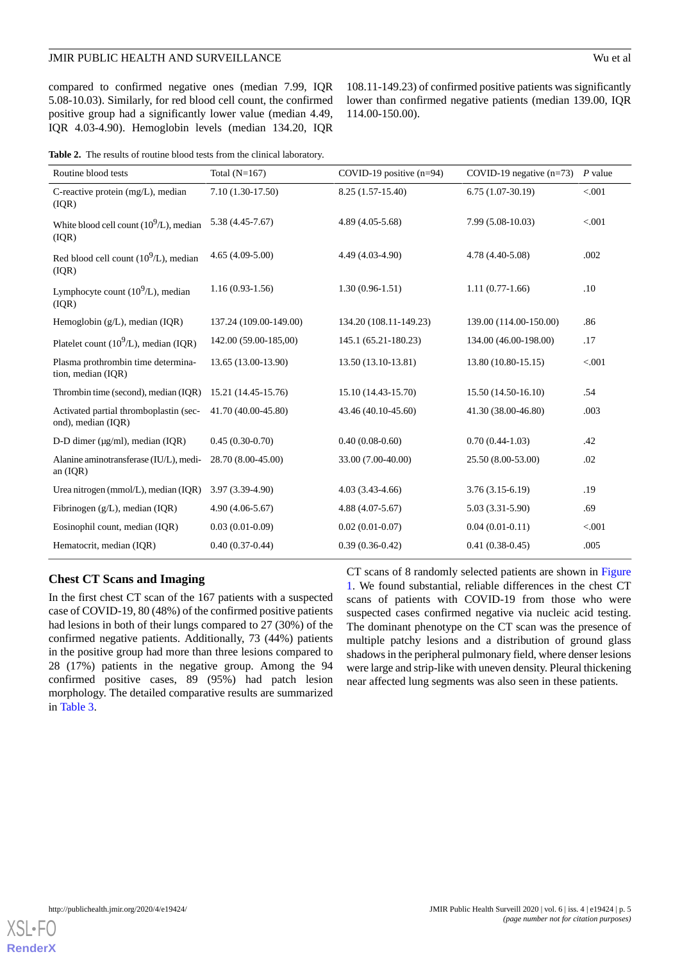## JMIR PUBLIC HEALTH AND SURVEILLANCE **Wu et al.** Wu et al.

compared to confirmed negative ones (median 7.99, IQR 5.08-10.03). Similarly, for red blood cell count, the confirmed positive group had a significantly lower value (median 4.49, IQR 4.03-4.90). Hemoglobin levels (median 134.20, IQR

108.11-149.23) of confirmed positive patients was significantly lower than confirmed negative patients (median 139.00, IQR 114.00-150.00).

<span id="page-4-0"></span>

| Table 2. The results of routine blood tests from the clinical laboratory. |
|---------------------------------------------------------------------------|
|                                                                           |

| Routine blood tests                                          | Total $(N=167)$        | COVID-19 positive $(n=94)$ | COVID-19 negative $(n=73)$ | $P$ value |
|--------------------------------------------------------------|------------------------|----------------------------|----------------------------|-----------|
| C-reactive protein (mg/L), median<br>(IQR)                   | $7.10(1.30-17.50)$     | 8.25 (1.57-15.40)          | $6.75(1.07-30.19)$         | < .001    |
| White blood cell count $(10^9/L)$ , median<br>(IQR)          | $5.38(4.45-7.67)$      | $4.89(4.05-5.68)$          | 7.99 (5.08-10.03)          | < 0.001   |
| Red blood cell count $(10^9/L)$ , median<br>(IQR)            | $4.65(4.09-5.00)$      | 4.49 (4.03-4.90)           | 4.78 (4.40-5.08)           | .002      |
| Lymphocyte count $(10^9/L)$ , median<br>( IQR)               | $1.16(0.93-1.56)$      | $1.30(0.96-1.51)$          | $1.11(0.77-1.66)$          | .10       |
| Hemoglobin (g/L), median (IQR)                               | 137.24 (109.00-149.00) | 134.20 (108.11-149.23)     | 139.00 (114.00-150.00)     | .86       |
| Platelet count $(10^9/L)$ , median (IQR)                     | 142.00 (59.00-185,00)  | 145.1 (65.21-180.23)       | 134.00 (46.00-198.00)      | .17       |
| Plasma prothrombin time determina-<br>tion, median (IQR)     | 13.65 (13.00-13.90)    | 13.50 (13.10-13.81)        | 13.80 (10.80-15.15)        | < 0.001   |
| Thrombin time (second), median (IQR)                         | 15.21 (14.45-15.76)    | 15.10 (14.43-15.70)        | 15.50 (14.50-16.10)        | .54       |
| Activated partial thromboplastin (sec-<br>ond), median (IQR) | 41.70 (40.00-45.80)    | 43.46 (40.10-45.60)        | 41.30 (38.00-46.80)        | .003      |
| D-D dimer ( $\mu$ g/ml), median (IQR)                        | $0.45(0.30-0.70)$      | $0.40(0.08-0.60)$          | $0.70(0.44-1.03)$          | .42       |
| Alanine aminotransferase (IU/L), medi-<br>an $(IQR)$         | 28.70 (8.00-45.00)     | 33.00 (7.00-40.00)         | 25.50 (8.00-53.00)         | .02       |
| Urea nitrogen (mmol/L), median (IQR)                         | 3.97 (3.39-4.90)       | $4.03(3.43-4.66)$          | $3.76(3.15-6.19)$          | .19       |
| Fibrinogen $(g/L)$ , median (IQR)                            | $4.90(4.06-5.67)$      | $4.88(4.07-5.67)$          | $5.03(3.31-5.90)$          | .69       |
| Eosinophil count, median (IQR)                               | $0.03(0.01-0.09)$      | $0.02(0.01-0.07)$          | $0.04(0.01-0.11)$          | < 0.001   |
| Hematocrit, median (IQR)                                     | $0.40(0.37-0.44)$      | $0.39(0.36-0.42)$          | $0.41(0.38-0.45)$          | .005      |

## **Chest CT Scans and Imaging**

In the first chest CT scan of the 167 patients with a suspected case of COVID-19, 80 (48%) of the confirmed positive patients had lesions in both of their lungs compared to 27 (30%) of the confirmed negative patients. Additionally, 73 (44%) patients in the positive group had more than three lesions compared to 28 (17%) patients in the negative group. Among the 94 confirmed positive cases, 89 (95%) had patch lesion morphology. The detailed comparative results are summarized in [Table 3](#page-5-0).

CT scans of 8 randomly selected patients are shown in [Figure](#page-6-0) [1.](#page-6-0) We found substantial, reliable differences in the chest CT scans of patients with COVID-19 from those who were suspected cases confirmed negative via nucleic acid testing. The dominant phenotype on the CT scan was the presence of multiple patchy lesions and a distribution of ground glass shadows in the peripheral pulmonary field, where denser lesions were large and strip-like with uneven density. Pleural thickening near affected lung segments was also seen in these patients.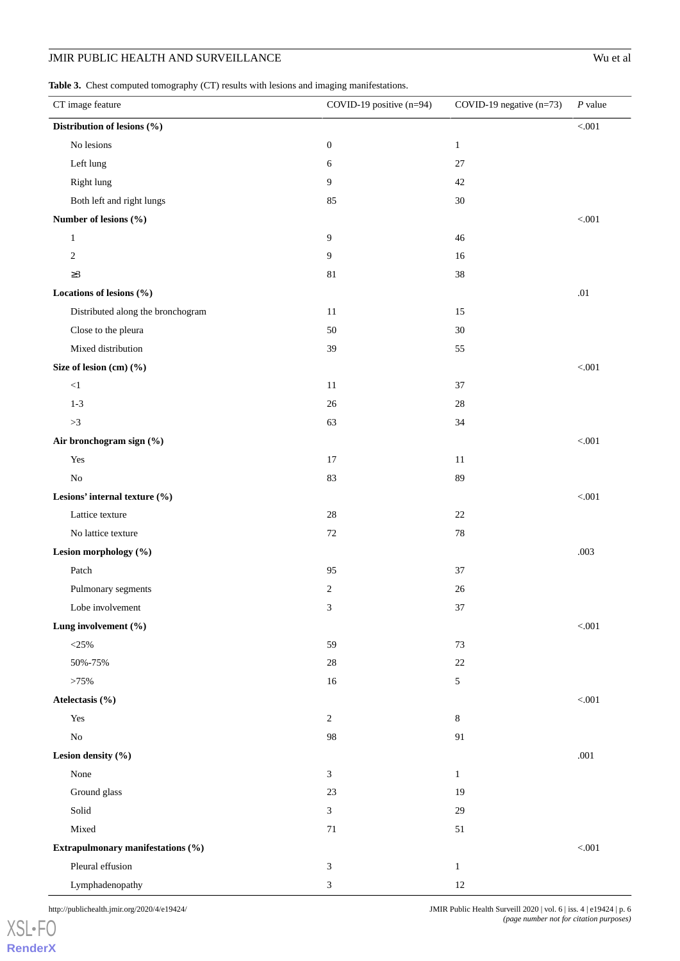<span id="page-5-0"></span>Table 3. Chest computed tomography (CT) results with lesions and imaging manifestations.

| $\sim$ 1 $\sim$ 1<br>CT image feature | COVID-19 positive $(n=94)$ | COVID-19 negative $(n=73)$ | $P$ value |
|---------------------------------------|----------------------------|----------------------------|-----------|
| Distribution of lesions (%)           |                            |                            | $< 001$   |
| No lesions                            | $\boldsymbol{0}$           | $\mathbf{1}$               |           |
| Left lung                             | 6                          | 27                         |           |
| Right lung                            | 9                          | 42                         |           |
| Both left and right lungs             | 85                         | 30                         |           |
| Number of lesions (%)                 |                            |                            | $< 001$   |
| $\mathbf{1}$                          | $\overline{9}$             | 46                         |           |
| $\overline{c}$                        | 9                          | 16                         |           |
| $\geq$ 3                              | $81\,$                     | $38\,$                     |           |
| Locations of lesions (%)              |                            |                            | .01       |
| Distributed along the bronchogram     | 11                         | 15                         |           |
| Close to the pleura                   | 50                         | 30                         |           |
| Mixed distribution                    | 39                         | 55                         |           |
| Size of lesion (cm) (%)               |                            |                            | $< 001$   |
| ${<}1$                                | 11                         | 37                         |           |
| $1 - 3$                               | 26                         | 28                         |           |
| ${>}3$                                | 63                         | 34                         |           |
| Air bronchogram sign (%)              |                            |                            | $< 001$   |
| Yes                                   | 17                         | 11                         |           |
| No                                    | 83                         | 89                         |           |
| Lesions' internal texture (%)         |                            |                            | $< 001$   |
| Lattice texture                       | 28                         | $22\,$                     |           |
| No lattice texture                    | $72\,$                     | 78                         |           |
| Lesion morphology (%)                 |                            |                            | .003      |
| Patch                                 | 95                         | 37                         |           |
| Pulmonary segments                    | $\sqrt{2}$                 | 26                         |           |
| Lobe involvement                      | 3                          | 37                         |           |
| Lung involvement (%)                  |                            |                            | $< 001$   |
| $<$ 25%                               | 59                         | 73                         |           |
| 50%-75%                               | 28                         | 22                         |           |
| >75%                                  | 16                         | 5                          |           |
| Atelectasis (%)                       |                            |                            | $< 001$   |
| Yes                                   | $\sqrt{2}$                 | $\,8\,$                    |           |
| $\rm No$                              | 98                         | 91                         |           |
| Lesion density (%)                    |                            |                            | .001      |
| None                                  | $\mathfrak{Z}$             | $\mathbf{1}$               |           |
| Ground glass                          | 23                         | 19                         |           |
| Solid                                 | 3                          | 29                         |           |
| Mixed                                 | $71\,$                     | 51                         |           |
| Extrapulmonary manifestations (%)     |                            |                            | $< 001$   |
| Pleural effusion                      | 3                          | $\mathbf{1}$               |           |
| Lymphadenopathy                       | 3                          | 12                         |           |

http://publichealth.jmir.org/2020/4/e19424/ JMIR Public Health Surveill 2020 | vol. 6 | iss. 4 | e19424 | p. 6 *(page number not for citation purposes)*

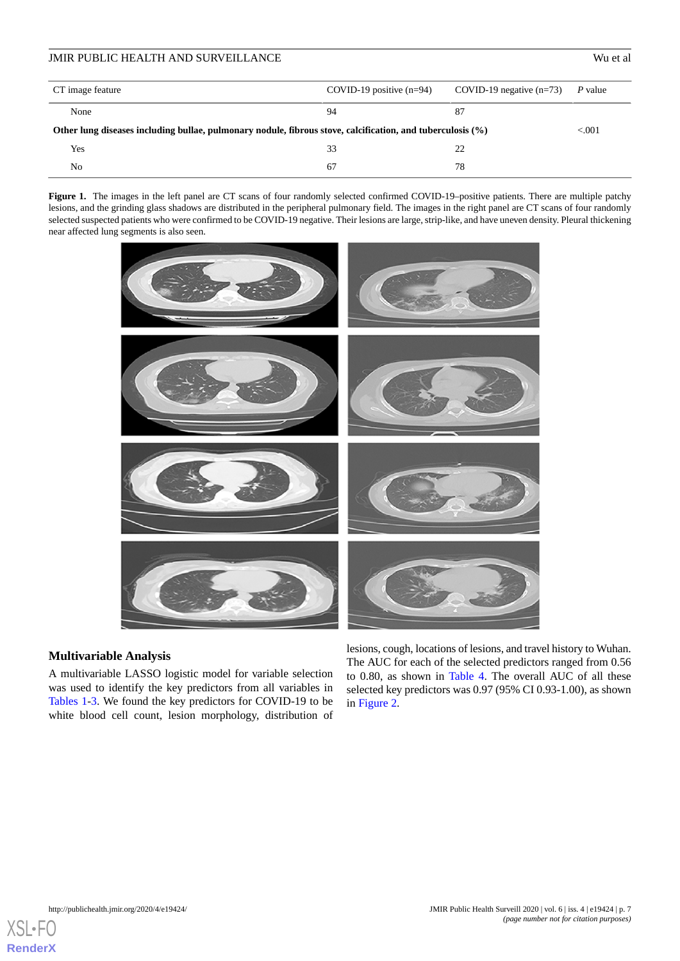# CT image feature COVID-19 positive (n=94) COVID-19 negative (n=73) *P* value None  $\begin{array}{ccccccc} 94 & 87 & \end{array}$ JMIR PUBLIC HEALTH AND SURVEILLANCE Wu et al

| Other lung diseases including bullae, pulmonary nodule, fibrous stove, calcification, and tuberculosis $(\%)$ |    |  |  |
|---------------------------------------------------------------------------------------------------------------|----|--|--|
| Yes                                                                                                           |    |  |  |
| No                                                                                                            | 67 |  |  |

<span id="page-6-0"></span>Figure 1. The images in the left panel are CT scans of four randomly selected confirmed COVID-19-positive patients. There are multiple patchy lesions, and the grinding glass shadows are distributed in the peripheral pulmonary field. The images in the right panel are CT scans of four randomly selected suspected patients who were confirmed to be COVID-19 negative. Their lesions are large, strip-like, and have uneven density. Pleural thickening near affected lung segments is also seen.



## **Multivariable Analysis**

A multivariable LASSO logistic model for variable selection was used to identify the key predictors from all variables in [Tables 1](#page-3-0)-[3.](#page-5-0) We found the key predictors for COVID-19 to be white blood cell count, lesion morphology, distribution of

lesions, cough, locations of lesions, and travel history to Wuhan. The AUC for each of the selected predictors ranged from 0.56 to 0.80, as shown in [Table 4](#page-7-0). The overall AUC of all these selected key predictors was 0.97 (95% CI 0.93-1.00), as shown in [Figure 2.](#page-7-1)

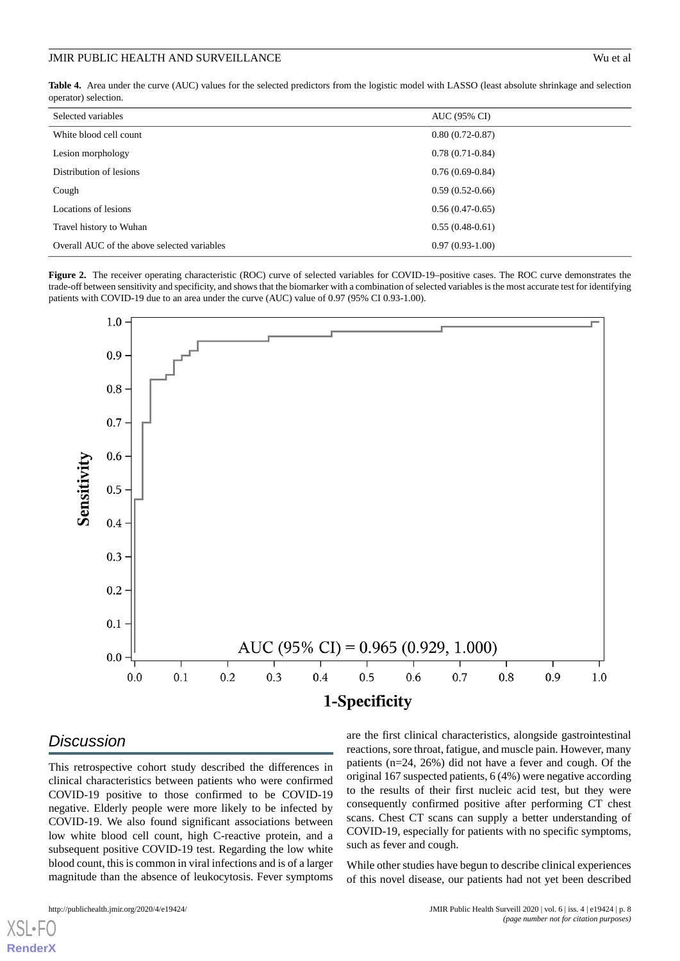<span id="page-7-0"></span>**Table 4.** Area under the curve (AUC) values for the selected predictors from the logistic model with LASSO (least absolute shrinkage and selection operator) selection.

| Selected variables                          | AUC (95% CI)      |
|---------------------------------------------|-------------------|
| White blood cell count                      | $0.80(0.72-0.87)$ |
| Lesion morphology                           | $0.78(0.71-0.84)$ |
| Distribution of lesions                     | $0.76(0.69-0.84)$ |
| Cough                                       | $0.59(0.52-0.66)$ |
| Locations of lesions                        | $0.56(0.47-0.65)$ |
| Travel history to Wuhan                     | $0.55(0.48-0.61)$ |
| Overall AUC of the above selected variables | $0.97(0.93-1.00)$ |

<span id="page-7-1"></span>Figure 2. The receiver operating characteristic (ROC) curve of selected variables for COVID-19–positive cases. The ROC curve demonstrates the trade-off between sensitivity and specificity, and shows that the biomarker with a combination of selected variables is the most accurate test for identifying patients with COVID-19 due to an area under the curve (AUC) value of 0.97 (95% CI 0.93-1.00).



# *Discussion*

[XSL](http://www.w3.org/Style/XSL)•FO **[RenderX](http://www.renderx.com/)**

This retrospective cohort study described the differences in clinical characteristics between patients who were confirmed COVID-19 positive to those confirmed to be COVID-19 negative. Elderly people were more likely to be infected by COVID-19. We also found significant associations between low white blood cell count, high C-reactive protein, and a subsequent positive COVID-19 test. Regarding the low white blood count, this is common in viral infections and is of a larger magnitude than the absence of leukocytosis. Fever symptoms are the first clinical characteristics, alongside gastrointestinal reactions, sore throat, fatigue, and muscle pain. However, many patients (n=24, 26%) did not have a fever and cough. Of the original 167 suspected patients, 6 (4%) were negative according to the results of their first nucleic acid test, but they were consequently confirmed positive after performing CT chest scans. Chest CT scans can supply a better understanding of COVID-19, especially for patients with no specific symptoms, such as fever and cough.

While other studies have begun to describe clinical experiences of this novel disease, our patients had not yet been described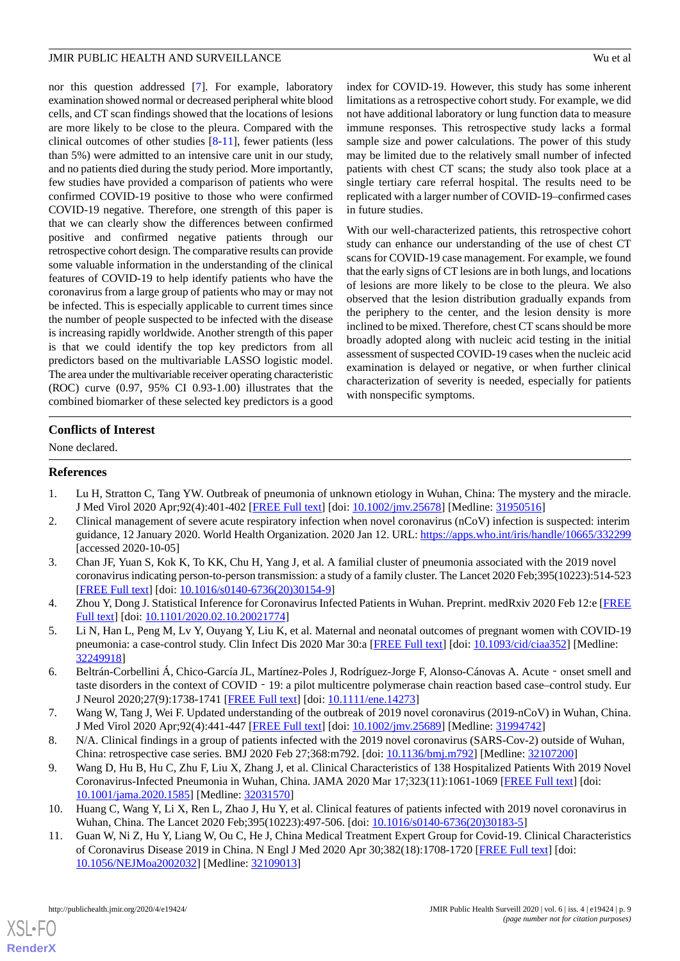nor this question addressed [\[7](#page-8-6)]. For example, laboratory examination showed normal or decreased peripheral white blood cells, and CT scan findings showed that the locations of lesions are more likely to be close to the pleura. Compared with the clinical outcomes of other studies [\[8](#page-8-7)[-11](#page-8-8)], fewer patients (less than 5%) were admitted to an intensive care unit in our study, and no patients died during the study period. More importantly, few studies have provided a comparison of patients who were confirmed COVID-19 positive to those who were confirmed COVID-19 negative. Therefore, one strength of this paper is that we can clearly show the differences between confirmed positive and confirmed negative patients through our retrospective cohort design. The comparative results can provide some valuable information in the understanding of the clinical features of COVID-19 to help identify patients who have the coronavirus from a large group of patients who may or may not be infected. This is especially applicable to current times since the number of people suspected to be infected with the disease is increasing rapidly worldwide. Another strength of this paper is that we could identify the top key predictors from all predictors based on the multivariable LASSO logistic model. The area under the multivariable receiver operating characteristic (ROC) curve (0.97, 95% CI 0.93-1.00) illustrates that the combined biomarker of these selected key predictors is a good

index for COVID-19. However, this study has some inherent limitations as a retrospective cohort study. For example, we did not have additional laboratory or lung function data to measure immune responses. This retrospective study lacks a formal sample size and power calculations. The power of this study may be limited due to the relatively small number of infected patients with chest CT scans; the study also took place at a single tertiary care referral hospital. The results need to be replicated with a larger number of COVID-19–confirmed cases in future studies.

With our well-characterized patients, this retrospective cohort study can enhance our understanding of the use of chest CT scans for COVID-19 case management. For example, we found that the early signs of CT lesions are in both lungs, and locations of lesions are more likely to be close to the pleura. We also observed that the lesion distribution gradually expands from the periphery to the center, and the lesion density is more inclined to be mixed. Therefore, chest CT scans should be more broadly adopted along with nucleic acid testing in the initial assessment of suspected COVID-19 cases when the nucleic acid examination is delayed or negative, or when further clinical characterization of severity is needed, especially for patients with nonspecific symptoms.

## **Conflicts of Interest**

<span id="page-8-0"></span>None declared.

#### <span id="page-8-1"></span>**References**

- <span id="page-8-2"></span>1. Lu H, Stratton C, Tang YW. Outbreak of pneumonia of unknown etiology in Wuhan, China: The mystery and the miracle. J Med Virol 2020 Apr;92(4):401-402 [\[FREE Full text\]](http://europepmc.org/abstract/MED/31950516) [doi: [10.1002/jmv.25678](http://dx.doi.org/10.1002/jmv.25678)] [Medline: [31950516](http://www.ncbi.nlm.nih.gov/entrez/query.fcgi?cmd=Retrieve&db=PubMed&list_uids=31950516&dopt=Abstract)]
- 2. Clinical management of severe acute respiratory infection when novel coronavirus (nCoV) infection is suspected: interim guidance, 12 January 2020. World Health Organization. 2020 Jan 12. URL:<https://apps.who.int/iris/handle/10665/332299> [accessed 2020-10-05]
- <span id="page-8-4"></span><span id="page-8-3"></span>3. Chan JF, Yuan S, Kok K, To KK, Chu H, Yang J, et al. A familial cluster of pneumonia associated with the 2019 novel coronavirus indicating person-to-person transmission: a study of a family cluster. The Lancet 2020 Feb;395(10223):514-523 [[FREE Full text](https://doi.org/10.1016/S0140-6736(20)30154-9)] [doi: [10.1016/s0140-6736\(20\)30154-9\]](http://dx.doi.org/10.1016/s0140-6736(20)30154-9)
- <span id="page-8-5"></span>4. Zhou Y, Dong J. Statistical Inference for Coronavirus Infected Patients in Wuhan. Preprint. medRxiv 2020 Feb 12:e [\[FREE](https://doi.org/10.1101/2020.02.10.20021774) [Full text\]](https://doi.org/10.1101/2020.02.10.20021774) [doi: [10.1101/2020.02.10.20021774\]](http://dx.doi.org/10.1101/2020.02.10.20021774)
- <span id="page-8-6"></span>5. Li N, Han L, Peng M, Lv Y, Ouyang Y, Liu K, et al. Maternal and neonatal outcomes of pregnant women with COVID-19 pneumonia: a case-control study. Clin Infect Dis 2020 Mar 30:a [\[FREE Full text\]](http://europepmc.org/abstract/MED/32249918) [doi: [10.1093/cid/ciaa352](http://dx.doi.org/10.1093/cid/ciaa352)] [Medline: [32249918](http://www.ncbi.nlm.nih.gov/entrez/query.fcgi?cmd=Retrieve&db=PubMed&list_uids=32249918&dopt=Abstract)]
- <span id="page-8-7"></span>6. Beltrán-Corbellini Á, Chico-García JL, Martínez-Poles J, Rodríguez-Jorge F, Alonso-Cánovas A. Acute‐onset smell and taste disorders in the context of COVID‐19: a pilot multicentre polymerase chain reaction based case–control study. Eur J Neurol 2020;27(9):1738-1741 [[FREE Full text\]](http://europepmc.org/abstract/MED/32449247) [doi: [10.1111/ene.14273\]](http://dx.doi.org/10.1111/ene.14273)
- 7. Wang W, Tang J, Wei F. Updated understanding of the outbreak of 2019 novel coronavirus (2019-nCoV) in Wuhan, China. J Med Virol 2020 Apr;92(4):441-447 [\[FREE Full text\]](http://europepmc.org/abstract/MED/31994742) [doi: [10.1002/jmv.25689](http://dx.doi.org/10.1002/jmv.25689)] [Medline: [31994742](http://www.ncbi.nlm.nih.gov/entrez/query.fcgi?cmd=Retrieve&db=PubMed&list_uids=31994742&dopt=Abstract)]
- <span id="page-8-8"></span>8. N/A. Clinical findings in a group of patients infected with the 2019 novel coronavirus (SARS-Cov-2) outside of Wuhan, China: retrospective case series. BMJ 2020 Feb 27;368:m792. [doi: [10.1136/bmj.m792\]](http://dx.doi.org/10.1136/bmj.m792) [Medline: [32107200](http://www.ncbi.nlm.nih.gov/entrez/query.fcgi?cmd=Retrieve&db=PubMed&list_uids=32107200&dopt=Abstract)]
- 9. Wang D, Hu B, Hu C, Zhu F, Liu X, Zhang J, et al. Clinical Characteristics of 138 Hospitalized Patients With 2019 Novel Coronavirus-Infected Pneumonia in Wuhan, China. JAMA 2020 Mar 17;323(11):1061-1069 [[FREE Full text\]](http://europepmc.org/abstract/MED/32031570) [doi: [10.1001/jama.2020.1585](http://dx.doi.org/10.1001/jama.2020.1585)] [Medline: [32031570](http://www.ncbi.nlm.nih.gov/entrez/query.fcgi?cmd=Retrieve&db=PubMed&list_uids=32031570&dopt=Abstract)]
- 10. Huang C, Wang Y, Li X, Ren L, Zhao J, Hu Y, et al. Clinical features of patients infected with 2019 novel coronavirus in Wuhan, China. The Lancet 2020 Feb;395(10223):497-506. [doi: [10.1016/s0140-6736\(20\)30183-5](http://dx.doi.org/10.1016/s0140-6736(20)30183-5)]
- 11. Guan W, Ni Z, Hu Y, Liang W, Ou C, He J, China Medical Treatment Expert Group for Covid-19. Clinical Characteristics of Coronavirus Disease 2019 in China. N Engl J Med 2020 Apr 30;382(18):1708-1720 [[FREE Full text](http://europepmc.org/abstract/MED/32109013)] [doi: [10.1056/NEJMoa2002032](http://dx.doi.org/10.1056/NEJMoa2002032)] [Medline: [32109013](http://www.ncbi.nlm.nih.gov/entrez/query.fcgi?cmd=Retrieve&db=PubMed&list_uids=32109013&dopt=Abstract)]

[XSL](http://www.w3.org/Style/XSL)•FO **[RenderX](http://www.renderx.com/)**